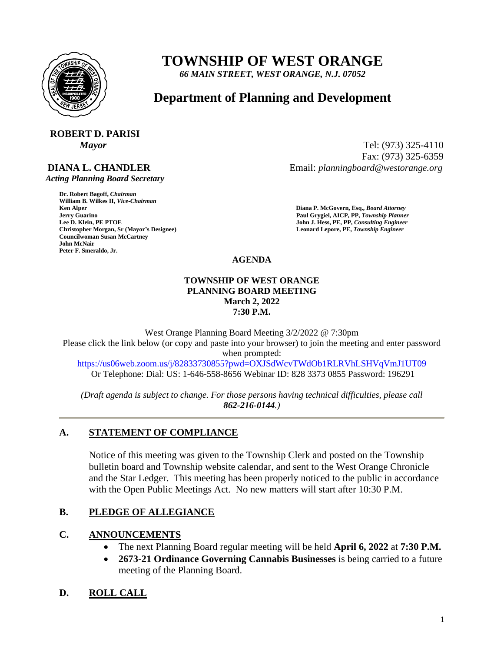

# **TOWNSHIP OF WEST ORANGE**

*66 MAIN STREET, WEST ORANGE, N.J. 07052*

## **Department of Planning and Development**

## **ROBERT D. PARISI**

## **DIANA L. CHANDLER**

 *Acting Planning Board Secretary*

**Dr. Robert Bagoff,** *Chairman*  **William B. Wilkes II,** *Vice-Chairman*  **Faul Grygiel, AICP, PP,** *Township Planner* **<b>Lee D. Klein, PE PTOE Properties and** *Solution* **Paul Grygiel, AICP, PP,** *Township Planner**Lee D. Klein, PE PTOE* **Christopher Morgan, Sr (Mayor's Designee) Leonard Lepore, PE,** *Township Engineer*  **Councilwoman Susan McCartney John McNair Peter F. Smeraldo, Jr.** 

*Mayor* Tel: (973) 325-4110 Fax: (973) 325-6359 Email: *planningboard@westorange.org*

> **Ken Alper****Diana P. McGovern, Esq.,** *Board Attorney*  **John J. Hess, PE, PP,** *Consulting Engineer*

**AGENDA**

#### **TOWNSHIP OF WEST ORANGE PLANNING BOARD MEETING March 2, 2022 7:30 P.M.**

West Orange Planning Board Meeting 3/2/2022 @ 7:30pm Please click the link below (or copy and paste into your browser) to join the meeting and enter password when prompted:

<https://us06web.zoom.us/j/82833730855?pwd=OXJSdWcvTWdOb1RLRVhLSHVqVmJ1UT09> Or Telephone: Dial: US: 1-646-558-8656 Webinar ID: 828 3373 0855 Password: 196291

*(Draft agenda is subject to change. For those persons having technical difficulties, please call 862-216-0144.)*

## **A. STATEMENT OF COMPLIANCE**

Notice of this meeting was given to the Township Clerk and posted on the Township bulletin board and Township website calendar, and sent to the West Orange Chronicle and the Star Ledger. This meeting has been properly noticed to the public in accordance with the Open Public Meetings Act. No new matters will start after 10:30 P.M.

### **B. PLEDGE OF ALLEGIANCE**

### **C. ANNOUNCEMENTS**

- The next Planning Board regular meeting will be held **April 6, 2022** at **7:30 P.M.**
- **2673-21 Ordinance Governing Cannabis Businesses** is being carried to a future meeting of the Planning Board.

## **D. ROLL CALL**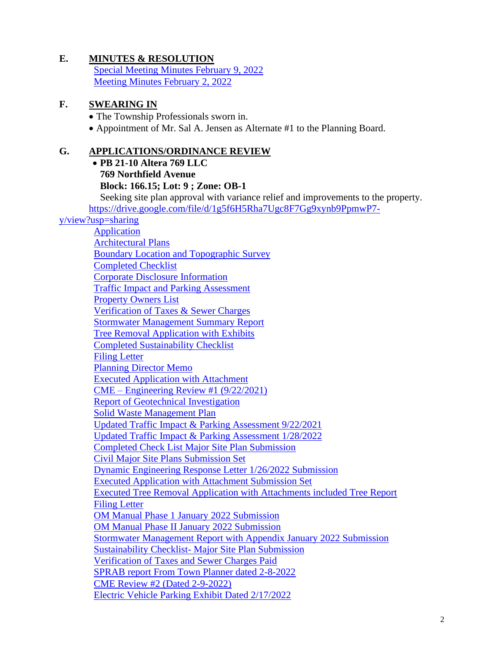## **E. MINUTES & RESOLUTION**

[Special Meeting Minutes February 9, 2022](https://www.westorange.org/DocumentCenter/View/9289/2-9-2022-WO-PB-Minutes-Final) [Meeting Minutes February 2, 2022](https://www.westorange.org/DocumentCenter/View/9288/2-2-2022-WO-PB-Minutes-Final)

#### **F. SWEARING IN**

• The Township Professionals sworn in.

• Appointment of Mr. Sal A. Jensen as Alternate #1 to the Planning Board.

#### **G. APPLICATIONS/ORDINANCE REVIEW**

• **PB 21-10 Altera 769 LLC 769 Northfield Avenue Block: 166.15; Lot: 9 ; Zone: OB-1** Seeking site plan approval with variance relief and improvements to the property. [https://drive.google.com/file/d/1g5f6H5Rha7Ugc8F7Gg9xynb9PpmwP7](https://drive.google.com/file/d/1g5f6H5Rha7Ugc8F7Gg9xynb9PpmwP7-y/view?usp=sharing) [y/view?usp=sharing](https://drive.google.com/file/d/1g5f6H5Rha7Ugc8F7Gg9xynb9PpmwP7-y/view?usp=sharing) [Application](https://www.westorange.org/DocumentCenter/View/8701/Altera-769-LLC---Application) [Architectural Plans](https://www.westorange.org/DocumentCenter/View/8702/Altera-769-LLC---Architectural-Plans-Rotwein-Blake) [Boundary Location and Topographic Survey](https://www.westorange.org/DocumentCenter/View/8703/Altera-769-LLC---Boundary-Location-and-Topographic-Survey) [Completed Checklist](https://www.westorange.org/DocumentCenter/View/8704/Altera-769-LLC---Completed-Checklist) [Corporate Disclosure Information](https://www.westorange.org/DocumentCenter/View/8705/Altera-769-LLC---Corporate-Disclosure-Information) Traffic Impact [and Parking Assessment](https://www.westorange.org/DocumentCenter/View/8706/Altera-769-LLC---Dynamic-071921-Traffic-Impact-and-Parking-Assessment) [Property Owners List](https://www.westorange.org/DocumentCenter/View/8707/Altera-769-LLC---Property-Owners-List---062321) [Verification of Taxes & Sewer Charges](https://www.westorange.org/DocumentCenter/View/8708/Altera-769-LLC---Verification-of-Taxes--Sewer-Charges-061621) [Stormwater Management Summary Report](https://www.westorange.org/DocumentCenter/View/8709/Altera769-LLC---Dynamic-August-2021-Stormwater-Management-Summary-Repor_) [Tree Removal Application with Exhibits](https://www.westorange.org/DocumentCenter/View/8710/Altera769-LLC---Tree-Removal-Application-with-Exhibits-and-Tree-Removal_)

[Completed Sustainability Checklist](https://www.westorange.org/DocumentCenter/View/8711/Completed-Sustainability-Checklist)

[Filing Letter](https://www.westorange.org/DocumentCenter/View/8712/Filing-Letter-081321)

[Planning Director Memo](https://www.westorange.org/DocumentCenter/View/8714/Plg-Dir-Memo---PB-21-10---Altera-769)

[Executed Application with Attachment](https://www.westorange.org/DocumentCenter/View/8751/Altera-769---Executed-Application-with-Attachment)

CME – [Engineering Review #1 \(9/22/2021\)](https://www.westorange.org/DocumentCenter/View/8797/21-09-22-Review-1)

[Report of Geotechnical Investigation](https://www.westorange.org/DocumentCenter/View/8811/Report-of-Geotechnical-Investigation-092321)

[Solid Waste Management Plan](https://www.westorange.org/DocumentCenter/View/8812/Solid-Waste-Management-Plan-092321)

[Updated Traffic Impact & Parking Assessment 9/22/2021](https://www.westorange.org/DocumentCenter/View/8813/Updated-Traffic-Impact-and-Parking-Assessment-092221)

[Updated Traffic Impact & Parking Assessment 1/28/2022](https://www.westorange.org/DocumentCenter/View/9247/2022-01-28-Traffic-and-Parking-Assessment)

[Completed Check List Major Site Plan Submission](https://www.westorange.org/DocumentCenter/View/9248/Altera-769-LLC---Completed-Checklist-Major-Site-Plan-Submission)

[Civil Major Site Plans Submission Set](https://www.westorange.org/DocumentCenter/View/9249/Altera-West-Orange-Civil-Major-Site-Plans-Submission-Set)

[Dynamic Engineering Response Letter 1/26/2022 Submission](https://www.westorange.org/DocumentCenter/View/9250/Dynamic-Engineering-Response-Letter-2022-01-26-Submission)

Executed Application [with Attachment Submission Set](https://www.westorange.org/DocumentCenter/View/9251/Executed-Application-with-Attachment-Submission-Set)

[Executed Tree Removal Application with Attachments included Tree Report](https://www.westorange.org/DocumentCenter/View/9252/Executed-Tree-Removal-Application-with-Attachments-including-Tree-Report)

[Filing Letter](https://www.westorange.org/DocumentCenter/View/9253/Filing-Letter-Altera-769-012722)

[OM Manual Phase 1 January 2022 Submission](https://www.westorange.org/DocumentCenter/View/9254/OM-Manual---Phase-I-January-2022-Submission)

[OM Manual Phase II January 2022 Submission](https://www.westorange.org/DocumentCenter/View/9255/OM-Manual---Phase-II-January-2022-Submission)

[Stormwater Management Report with Appendix January 2022 Submission](https://www.westorange.org/DocumentCenter/View/9256/Stormwater-Management-Report-with-Appendix-January-2022-Submission)

Sustainability Checklist- [Major Site Plan Submission](https://www.westorange.org/DocumentCenter/View/9257/Sustainability-Checklist---Major-Site-Plan-Submission)

Verification of [Taxes and Sewer Charges Paid](https://www.westorange.org/DocumentCenter/View/9258/Verification-of-Taxes--Sewer-Charges-Paid-Submission)

[SPRAB report From Town Planner dated 2-8-2022](https://www.westorange.org/DocumentCenter/View/9270/SPRAB-report-PB-21-10---Altera-769)

[CME Review #2 \(Dated 2-9-2022\)](https://www.westorange.org/DocumentCenter/View/9278/22-02-09-Review-2)

[Electric Vehicle Parking Exhibit Dated 2/17/2022](https://www.westorange.org/DocumentCenter/View/9299/ELECTRIC-VEHICLE-PARKING-EXHIBIT-Dated-2-17-2022)